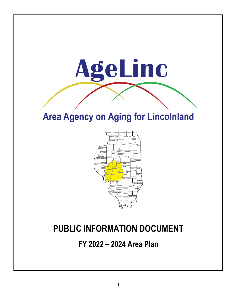# **Area Agency on Aging for Lincolnland**

AgeLinc



# **PUBLIC INFORMATION DOCUMENT**

**FY 2022 – 2024 Area Plan**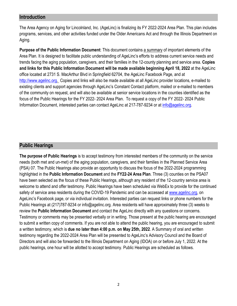#### **Introduction**

The Area Agency on Aging for Lincolnland, Inc. (AgeLinc) is finalizing its FY 2022-2024 Area Plan. This plan includes programs, services, and other activities funded under the Older Americans Act and through the Illinois Department on Aging.

**Purpose of the Public Information Document**: This document contains a summary of important elements of the Area Plan. It is designed to facilitate public understanding of AgeLinc's efforts to address current service needs and trends facing the aging population, caregivers, and their families in the 12-county planning and service area. **Copies and links for this Public Information Document will be made available beginning April 18, 2022** at the AgeLinc office located at 2731 S. MacArthur Blvd in Springfield 62704, the AgeLinc Facebook Page, and at [http://www.agelinc.org.](http://www.agelinc.org/) Copies and links will also be made available at all AgeLinc provider locations, e-mailed to existing clients and support agencies through AgeLinc's Constant Contact platform, mailed or e-mailed to members of the community on request, and will also be available at senior service locations in the counties identified as the focus of the Public Hearings for the FY 2022- 2024 Area Plan. To request a copy of the FY 2022- 2024 Public Information Document, interested parties can contact AgeLinc at 217-787-9234 or at [info@agelinc.org.](mailto:info@agelinc.org)

### **Public Hearings**

**The purpose of Public Hearings** is to accept testimony from interested members of the community on the service needs (both met and un-met) of the aging population, caregivers, and their families in the Planned Service Area (PSA) 07. The Public Hearings also provide an opportunity to discuss the focus of the 2022-2024 programming highlighted in the **Public Information Document** and the **FY22-24 Area Plan**. Three (3) counties on the PSA07 have been selected as the focus of these Public Hearings, although any resident of the 12-country service area is welcome to attend and offer testimony. Public Hearings have been scheduled via WebEx to provide for the continued safety of service area residents during the COVID-19 Pandemic and can be accessed at [www.agelinc.org,](http://www.agelinc.org/) on AgeLinc's Facebook page, or via individual invitation. Interested parties can request links or phone numbers for the Public Hearings at (217)787-9234 or info@agelinc.org. Area residents will have approximately three (3) weeks to review the **Public Information Document** and contact the AgeLinc directly with any questions or concerns. Testimony or comments may be presented verbally or in writing. Those present at the public hearing are encouraged to submit a written copy of comments. If you are not able to attend the public hearing, you are encouraged to submit a written testimony, which is **due no later than 4:00 p.m. on May 25th, 2022**. A Summary of oral and written testimony regarding the 2022-2024 Area Plan will be presented to AgeLinc's Advisory Council and the Board of Directors and will also be forwarded to the Illinois Department on Aging (IDOA) on or before July 1, 2022. At the public hearings, one hour will be allotted to accept testimony. Public Hearings are scheduled as follows.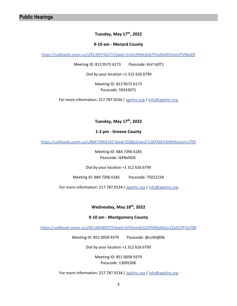#### **Tuesday, May 17th, 2022**

#### **9-10 am - Menard County**

<https://us06web.zoom.us/j/81395756173?pwd=VnJ5cHhNckQxTHJySk44YnhmVFVBdz09>

Meeting ID: 813 9575 6173 Passcode: Km^Jz0T1

Dial by your location +1 312 626 6799

Meeting ID: 813 9575 6173 Passcode: 59243071

For more information: 217.787.9234 / [agelinc.org](https://agelinc.org/) / [info@agelinc.org](mailto:info@agelinc.org)

**Tuesday, May 17th, 2022**

#### **1-2 pm - Greene County**

<https://us06web.zoom.us/j/88473966185?pwd=ZDBjb2xwcjF1QXFXbE54MktXaUxmUT09>

Meeting ID: 884 7396 6185 Passcode: i\$4NxN2G

Dial by your location +1 312 626 6799

Meeting ID: 884 7396 6185 Passcode: 75012234

For more information: 217.787.9234 / [agelinc.org /](https://agelinc.org/) [info@agelinc.org](mailto:info@agelinc.org)

#### **Wednesday, May 18th, 2022**

#### **9-10 am - Montgomery County**

<https://us06web.zoom.us/j/85100589379?pwd=bjVDem81Q1RYbWplbGsrZ2pEUTFVUT09>

Meeting ID: 851 0058 9379 Passcode: @ccX0@0b

Dial by your location +1 312 626 6799

Meeting ID: 851 0058 9379 Passcode: 13095396

For more information: 217.787.9234 / [agelinc.org /](https://agelinc.org/) [info@agelinc.org](mailto:info@agelinc.org)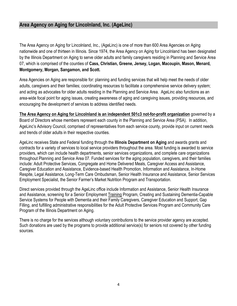## **Area Agency on Aging for Lincolnland, Inc. (AgeLinc)**

The Area Agency on Aging for Lincolnland, Inc., (AgeLinc) is one of more than 600 Area Agencies on Aging nationwide and one of thirteen in Illinois. Since 1974, the Area Agency on Aging for Lincolnland has been designated by the Illinois Department on Aging to serve older adults and family caregivers residing in Planning and Service Area 07, which is comprised of the counties of **Cass, Christian, Greene, Jersey, Logan, Macoupin, Mason, Menard, Montgomery, Morgan, Sangamon, and Scott.**

Area Agencies on Aging are responsible for: planning and funding services that will help meet the needs of older adults, caregivers and their families; coordinating resources to facilitate a comprehensive service delivery system; and acting as advocates for older adults residing in the Planning and Service Area. AgeLinc also functions as an area-wide focal point for aging issues, creating awareness of aging and caregiving issues, providing resources, and encouraging the development of services to address identified needs.

**The Area Agency on Aging for Lincolnland is an independent 501c3 not-for-profit organization** governed by a Board of Directors whose members represent each county in the Planning and Service Area (PSA). In addition, AgeLinc's Advisory Council, comprised of representatives from each service county, provide input on current needs and trends of older adults in their respective counties.

AgeLinc receives State and Federal funding through the **Illinois Department on Aging** and awards grants and contracts for a variety of services to local service providers throughout the area. Most funding is awarded to service providers, which can include health departments, senior services organizations, and complete care organizations throughout Planning and Service Area 07. Funded services for the aging population, caregivers, and their families include: Adult Protective Services, Congregate and Home Delivered Meals, Caregiver Access and Assistance, Caregiver Education and Assistance, Evidence-based Health Promotion, Information and Assistance, In-Home Respite, Legal Assistance, Long-Term Care Ombudsman, Senior Health Insurance and Assistance, Senior Services Employment Specialist, the Senior Farmer's Market Nutrition Program and Transportation.

Direct services provided through the AgeLinc office include Information and Assistance, Senior Health Insurance and Assistance, screening for a Senior Employment Training Program, Creating and Sustaining Dementia-Capable Service Systems for People with Dementia and their Family Caregivers, Caregiver Education and Support, Gap Filling, and fulfilling administrative responsibilities for the Adult Protective Services Program and Community Care Program of the Illinois Department on Aging.

There is no charge for the services although voluntary contributions to the service provider agency are accepted. Such donations are used by the programs to provide additional service(s) for seniors not covered by other funding sources.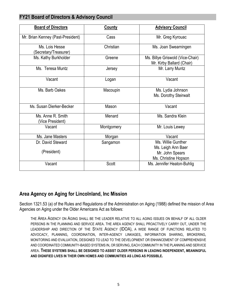## **FY21 Board of Directors & Advisory Council**

| <b>Board of Directors</b>               | <b>County</b> | <b>Advisory Council</b>                                                             |  |  |
|-----------------------------------------|---------------|-------------------------------------------------------------------------------------|--|--|
| Mr. Brian Kenney (Past-President)       | Cass          | Mr. Greg Kyrouac                                                                    |  |  |
| Ms. Lois Hesse<br>(Secretary/Treasurer) | Christian     | Ms. Joan Swearningen                                                                |  |  |
| Ms. Kathy Burkholder                    | Greene        | Ms. Billye Griswold (Vice-Chair)<br>Mr. Kirby Ballard (Chair)                       |  |  |
| Ms. Teresa Muntz                        | Jersey        | Mr. Larry Muntz                                                                     |  |  |
| Vacant                                  | Logan         | Vacant                                                                              |  |  |
| Ms. Barb Oakes                          | Macoupin      | Ms. Lydia Johnson<br>Ms. Dorothy Steirwalt                                          |  |  |
| Ms. Susan Dierker-Becker                | Mason         | Vacant                                                                              |  |  |
| Ms. Anne R. Smith<br>(Vice President)   | Menard        | Ms. Sandra Klein                                                                    |  |  |
| Vacant                                  | Montgomery    | Mr. Louis Lewey                                                                     |  |  |
| Ms. Jane Masters                        | Morgan        | Vacant                                                                              |  |  |
| Dr. David Steward<br>(President)        | Sangamon      | Ms. Willie Gunther<br>Ms. Leigh Ann Baer<br>Mr. John Spears<br>Ms. Christine Hopson |  |  |
| Vacant                                  | Scott         | Ms. Jennifer Heaton-Buhlig                                                          |  |  |

# **Area Agency on Aging for Lincolnland, Inc Mission**

Section 1321.53 (a) of the Rules and Regulations of the Administration on Aging (1988) defined the mission of Area Agencies on Aging under the Older Americans Act as follows:

THE AREA AGENCY ON AGING SHALL BE THE LEADER RELATIVE TO ALL AGING ISSUES ON BEHALF OF ALL OLDER PERSONS IN THE PLANNING AND SERVICE AREA. THE AREA AGENCY SHALL PROACTIVELY CARRY OUT, UNDER THE LEADERSHIP AND DIRECTION OF THE STATE AGENCY (IDOA), A WIDE RANGE OF FUNCTIONS RELATED TO ADVOCACY, PLANNING, COORDINATION, INTER-AGENCY LINKAGES, INFORMATION SHARING, BROKERING, MONITORING AND EVALUATION, DESIGNED TO LEAD TO THE DEVELOPMENT OR ENHANCEMENT OF COMPREHENSIVE AND COORDINATED COMMUNITY-BASED SYSTEMS IN, OR SERVING, EACH COMMUNITY IN THE PLANNING AND SERVICE AREA. **THESE SYSTEMS SHALL BE DESIGNED TO ASSIST OLDER PERSONS IN LEADING INDEPENDENT, MEANINGFUL AND DIGNIFIED LIVES IN THEIR OWN HOMES AND COMMUNITIES AS LONG AS POSSIBLE.**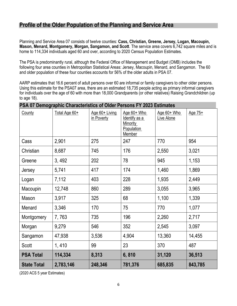# **Profile of the Older Population of the Planning and Service Area**

Planning and Service Area 07 consists of twelve counties: **Cass, Christian, Greene, Jersey, Logan, Macoupin, Mason, Menard, Montgomery, Morgan, Sangamon, and Scott**. The service area covers 6,742 square miles and is home to 114,334 individuals aged 60 and over, according to 2020 Census Population Estimates.

The PSA is predominantly rural, although the Federal Office of Management and Budget (OMB) includes the following four area counties in Metropolitan Statistical Areas: Jersey, Macoupin, Menard, and Sangamon. The 60 and older population of these four counties accounts for 56% of the older adults in PSA 07.

AARP estimates that 16.6 percent of adult persons over 60 are informal or family caregivers to other older persons. Using this estimate for the PSA07 area, there are an estimated 18,735 people acting as primary informal caregivers for individuals over the age of 60 with more than 18,000 Grandparents (or other relatives) Raising Grandchildren (up to age 18).

| County             | Total Age 60+ | Age 60+ Living<br>in Poverty | Age $60+$ Who<br>Identify as a<br><b>Minority</b><br>Population<br>Member | Age 60+ Who<br>Live Alone | Age 75+ |
|--------------------|---------------|------------------------------|---------------------------------------------------------------------------|---------------------------|---------|
| Cass               | 2,901         | 275                          | 247                                                                       | 770                       | 954     |
| Christian          | 8,687         | 745                          | 176                                                                       | 2,550                     | 3,021   |
| Greene             | 3,492         | 202                          | 78                                                                        | 945                       | 1,153   |
| Jersey             | 5,741         | 417                          | 174                                                                       | 1,460                     | 1,869   |
| Logan              | 7,112         | 403                          | 228                                                                       | 1,935                     | 2,449   |
| Macoupin           | 12,748        | 860                          | 289                                                                       | 3,055                     | 3,965   |
| Mason              | 3,917         | 325                          | 68                                                                        | 1,100                     | 1,339   |
| Menard             | 3,346         | 170                          | 75                                                                        | 770                       | 1,077   |
| Montgomery         | 7,763         | 735                          | 196                                                                       | 2,260                     | 2,717   |
| Morgan             | 9,279         | 546                          | 352                                                                       | 2,545                     | 3,097   |
| Sangamon           | 47,938        | 3,536                        | 4,904                                                                     | 13,360                    | 14,455  |
| Scott              | 1,410         | 99                           | 23                                                                        | 370                       | 487     |
| <b>PSA Total</b>   | 114,334       | 8,313                        | 6,810                                                                     | 31,120                    | 36,513  |
| <b>State Total</b> | 2,783,146     | 248,346                      | 781,376                                                                   | 685,835                   | 843,785 |

# **PSA 07 Demographic Characteristics of Older Persons FY 2023 Estimates**

(2020 ACS 5 year Estimates)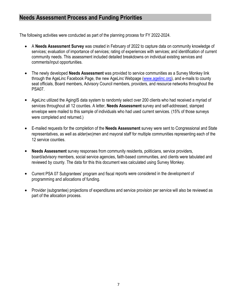# **Needs Assessment Process and Funding Priorities**

The following activities were conducted as part of the planning process for FY 2022-2024.

- A **Needs Assessment Survey** was created in February of 2022 to capture data on community knowledge of services; evaluation of importance of services; rating of experiences with services; and identification of current community needs. This assessment included detailed breakdowns on individual existing services and comments/input opportunities.
- The newly developed **Needs Assessment** was provided to service communities as a Survey Monkey link through the AgeLinc Facebook Page, the new AgeLinc Webpage [\(www.agelinc.org\)](http://www.agelinc.org/), and e-mails to county seat officials, Board members, Advisory Council members, providers, and resource networks throughout the PSA07.
- AgeLinc utilized the AgingIS data system to randomly select over 200 clients who had received a myriad of services throughout all 12 counties. A letter, **Needs Assessment** survey and self-addressed, stamped envelope were mailed to this sample of individuals who had used current services. (15% of those surveys were completed and returned.)
- E-mailed requests for the completion of the **Needs Assessment** survey were sent to Congressional and State representatives, as well as alder(wo)men and mayoral staff for multiple communities representing each of the 12 service counties.
- **Needs Assessment** survey responses from community residents, politicians, service providers, board/advisory members, social service agencies, faith-based communities, and clients were tabulated and reviewed by county. The data for this this document was calculated using Survey Monkey.
- Current PSA 07 Subgrantees' program and fiscal reports were considered in the development of programming and allocations of funding.
- Provider (subgrantee) projections of expenditures and service provision per service will also be reviewed as part of the allocation process.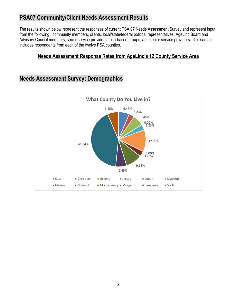# **PSA07 Community/Client Needs Assessment Results**

The results shown below represent the responses of current PSA 07 Needs Assessment Survey and represent input from the following: community members, clients, local/state/federal political representatives, AgeLinc Board and Advisory Council members, social service providers, faith-based groups, and senior service providers. This sample includes respondents from each of the twelve PSA counties.

# **Needs Assessment Response Rates from AgeLinc's 12 County Service Area**

# **Needs Assessment Survey: Demographics**

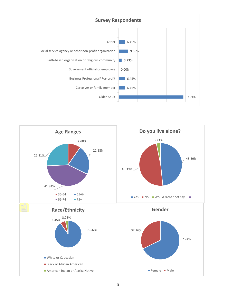

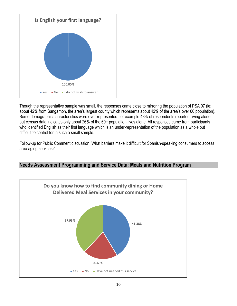

Though the representative sample was small, the responses came close to mirroring the population of PSA 07 (ie; about 42% from Sangamon, the area's largest county which represents about 42% of the area's over 60 population). Some demographic characteristics were over-represented, for example 48% of respondents reported 'living alone' but census data indicates only about 26% of the 60+ population lives alone. All responses came from participants who identified English as their first language which is an under-representation of the population as a whole but difficult to control for in such a small sample.

Follow-up for Public Comment discussion: What barriers make it difficult for Spanish-speaking consumers to access area aging services?



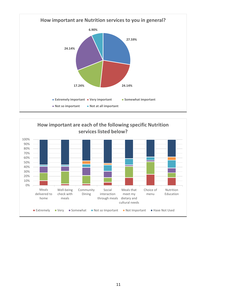

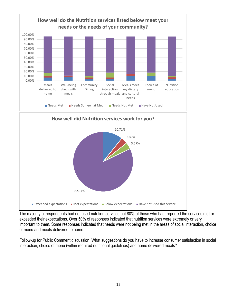

The majority of respondents had not used nutrition services but 80% of those who had, reported the services met or exceeded their expectations. Over 50% of responses indicated that nutrition services were extremely or very important to them. Some responses indicated that needs were not being met in the areas of social interaction, choice of menu and meals delivered to home.

Follow-up for Public Comment discussion: What suggestions do you have to increase consumer satisfaction in social interaction, choice of menu (within required nutritional guidelines) and home delivered meals?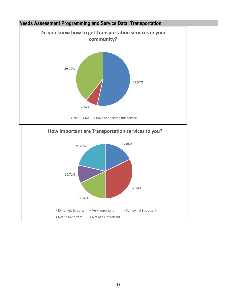



#### 13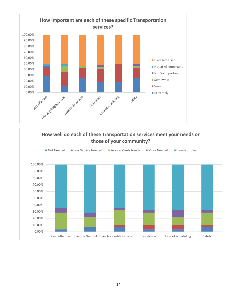

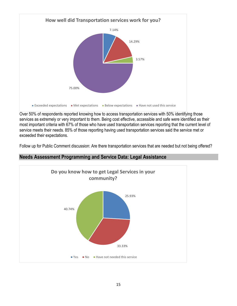

Over 50% of respondents reported knowing how to access transportation services with 50% identifying those services as extremely or very important to them. Being cost effective, accessible and safe were identified as their most important criteria with 67% of those who have used transportation services reporting that the current level of service meets their needs. 85% of those reporting having used transportation services said the service met or exceeded their expectations.

Follow up for Public Comment discussion: Are there transportation services that are needed but not being offered?



#### **Needs Assessment Programming and Service Data: Legal Assistance**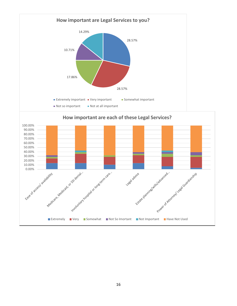

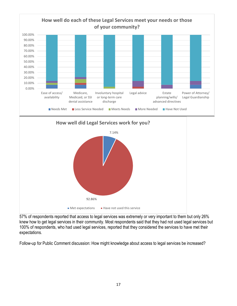



57% of respondents reported that access to legal services was extremely or very important to them but only 26% knew how to get legal services in their community. Most respondents said that they had not used legal services but 100% of respondents, who had used legal services, reported that they considered the services to have met their expectations.

Follow-up for Public Comment discussion: How might knowledge about access to legal services be increased?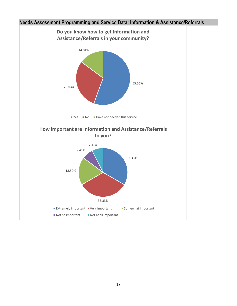

# **Needs Assessment Programming and Service Data: Information & Assistance/Referrals**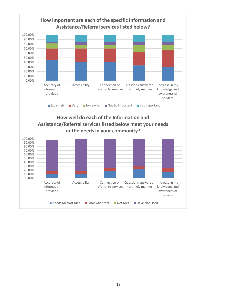

■ Needs MetNot Met ■ Somewhat Met ■ Not Met ■ Have Not Used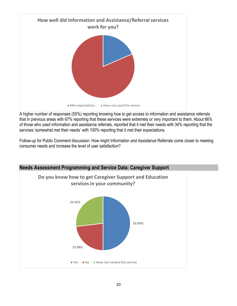

A higher number of responses (55%) reporting knowing how to get access to information and assistance referrals that in previous areas with 67% reporting that these services were extremely or very important to them. About 66% of those who used information and assistance referrals, reported that it met their needs with 34% reporting that the services 'somewhat met their needs' with 100% reporting that it met their expectations.

Follow-up for Public Comment discussion: How might Information and Assistance Referrals come closer to meeting consumer needs and increase the level of user satisfaction?

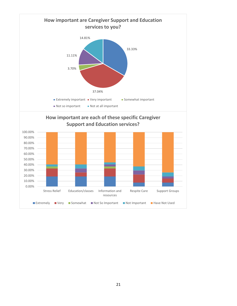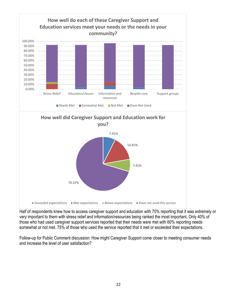

Half of respondents knew how to access caregiver support and education with 70% reporting that it was extremely or very important to them with stress relief and information/resources being ranked the most important. Only 40% of those who had used caregiver support services reported that their needs were met with 60% reporting needs somewhat or not met. 75% of those who used the service reported that it met or exceeded their expectations.

Follow-up for Public Comment discussion: How might Caregiver Support come closer to meeting consumer needs and increase the level of user satisfaction?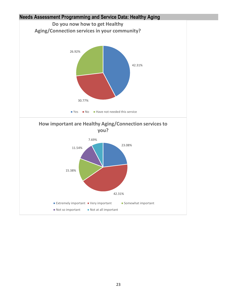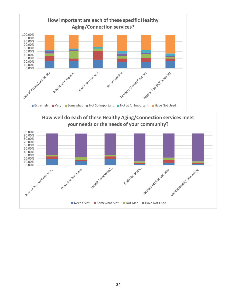



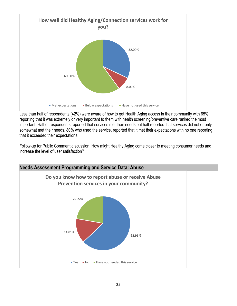

Less than half of respondents (42%) were aware of how to get Health Aging access in their community with 65% reporting that it was extremely or very important to them with health screening/preventive care ranked the most important. Half of respondents reported that services met their needs but half reported that services did not or only somewhat met their needs. 80% who used the service, reported that it met their expectations with no one reporting that it exceeded their expectations.

Follow-up for Public Comment discussion: How might Healthy Aging come closer to meeting consumer needs and increase the level of user satisfaction?

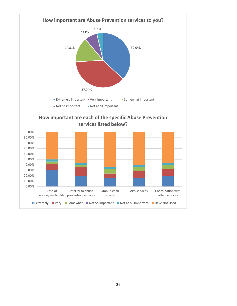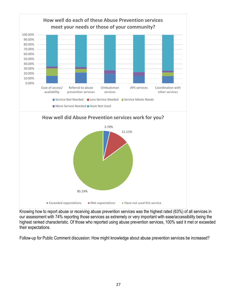

Knowing how to report abuse or receiving abuse prevention services was the highest rated (63%) of all services in our assessment with 74% reporting those services as extremely or very important with ease/accessibility being the highest ranked characteristic. Of those who reported using abuse prevention services, 100% said it met or exceeded their expectations.

Follow-up for Public Comment discussion: How might knowledge about abuse prevention services be increased?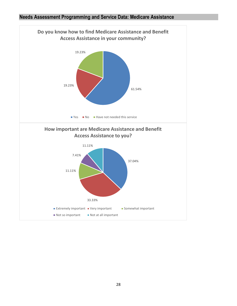#### **Needs Assessment Programming and Service Data: Medicare Assistance**

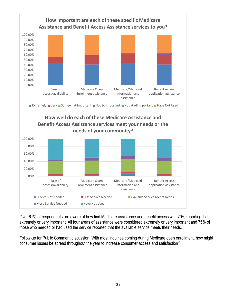

Over 61% of respondents are aware of how find Medicare assistance and benefit access with 70% reporting it as extremely or very important. All four areas of assistance were considered extremely or very important and 75% of those who needed or had used the service reported that the available service meets their needs.

Follow-up for Public Comment discussion: With most inquiries coming during Medicare open enrollment, how might consumer issues be spread throughout the year to increase consumer access and satisfaction?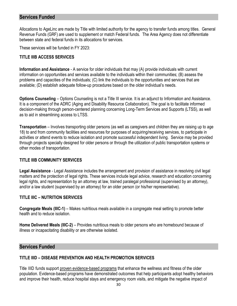#### **Services Funded**

Allocations to AgeLinc are made by Title with limited authority for the agency to transfer funds among titles. General Revenue Funds (GRF) are used to supplement or match Federal funds. The Area Agency does not differentiate between state and federal funds in its allocations for services.

These services will be funded in FY 2023:

#### **TITLE IIIB ACCESS SERVICES**

**Information and Assistance** - A service for older individuals that may (A) provide individuals with current information on opportunities and services available to the individuals within their communities; (B) assess the problems and capacities of the individuals; (C) link the individuals to the opportunities and services that are available; (D) establish adequate follow-up procedures based on the older individual's needs.

**Options Counseling** – Options Counseling is not a Title III service. It is an adjunct to Information and Assistance. It is a component of the ADRC (Aging and Disability Resource Collaboration). The goal is to facilitate informed decision-making through person-centered planning concerning Long-Term Services and Supports (LTSS), as well as to aid in streamlining access to LTSS.

**Transportation** – Involves transporting older persons (as well as caregivers and children they are raising up to age 18) to and from community facilities and resources for purposes of acquiring/receiving services, to participate in activities or attend events to reduce isolation and promote successful independent living. Service may be provided through projects specially designed for older persons or through the utilization of public transportation systems or other modes of transportation.

#### **TITLE IIIB COMMUNITY SERVICES**

**Legal Assistance** - Legal Assistance includes the arrangement and provision of assistance in resolving civil legal matters and the protection of legal rights. These services include legal advice, research and education concerning legal rights, and representation by an attorney at law, trained paralegal professional (supervised by an attorney), and/or a law student (supervised by an attorney) for an older person (or his/her representative).

#### **TITLE IIIC – NUTRITION SERVICES**

**Congregate Meals (IIIC-1)** – Makes nutritious meals available in a congregate meal setting to promote better health and to reduce isolation.

**Home Delivered Meals (IIIC-2)** – Provides nutritious meals to older persons who are homebound because of illness or incapacitating disability or are otherwise isolated.

#### **Services Funded**

#### **TITLE IIID – DISEASE PREVENTION AND HEALTH PROMOTION SERVICES**

Title IIID funds support proven evidence-based programs that enhance the wellness and fitness of the older population. Evidence-based programs have demonstrated outcomes that help participants adopt healthy behaviors and improve their health, reduce hospital stays and emergency room visits, and mitigate the negative impact of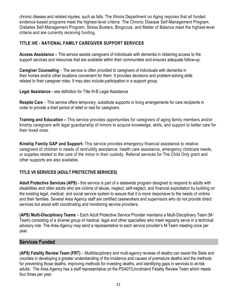chronic disease and related injuries, such as falls. The Illinois Department on Aging requires that all funded evidence-based programs meet the highest-level criteria. The Chronic Disease Self-Management Program, Diabetes Self-Management Program, Stress Busters, Bingocize, and Matter of Balance meet the highest-level criteria and are currently receiving funding.

#### **TITLE IIIE - NATIONAL FAMILY CAREGIVER SUPPORT SERVICES**

**Access Assistance –** This service assists caregivers of individuals with dementia in obtaining access to the support services and resources that are available within their communities and ensures adequate follow-up.

**Caregiver Counseling** – The service is often provided to caregivers of individuals with dementia in their homes and/or other locations convenient for them. It provides decisions and problem-solving skills related to their caregiver roles. It may also include participation in a support group.

**Legal Assistance -** see definition for Title III-B Legal Assistance

**Respite Care** – This service offers temporary, substitute supports or living arrangements for care recipients in order to provide a brief period of relief or rest for caregivers.

**Training and Education –** This service provides opportunities for caregivers of aging family members and/or kinship caregivers with legal guardianship of minors to acquire knowledge, skills, and support to better care for their loved ones.

**Kinship Family GAP and Support-** This service provides emergency financial assistance to relative caregivers of children in needs of rent/utility assistance, health care assistance, emergency childcare needs, or supplies related to the care of the minor in their custody. Referral services for The Child Only grant and other supports are also available.

#### **TITLE VII SERVICES (ADULT PROTECTIVE SERVICES)**

**Adult Protective Services (APS) -** this service is part of a statewide program designed to respond to adults with disabilities and older adults who are victims of abuse, neglect, self-neglect, and financial exploitation by building on the existing legal, medical, and social service system to assure that it is more responsive to the needs of victims and their families. Several Area Agency staff are certified caseworkers and supervisors who do not provide direct services but assist with coordinating and monitoring service providers.

**(APS) Multi-Disciplinary Teams** – Each Adult Protective Service Provider maintains a Multi-Disciplinary Team (M-Team) consisting of a diverse group of medical, legal and other specialties who meet regularly serve in a technical advisory role. The Area Agency may send a representative to each service provider's M-Team meeting once per year.

### **Services Funded**

**(APS) Fatality Review Team (FRT)** – Multidisciplinary and multi-agency reviews of deaths can assist the State and counties in developing a greater understanding of the incidence and causes of premature deaths and the methods for preventing those deaths, improving methods for investing deaths, and identifying gaps in services to at-risk adults. The Area Agency has a staff representative on the PSA07/Lincolnland Fatality Review Team which meets four times per year.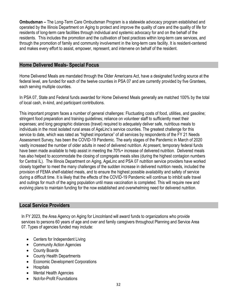**Ombudsman –** The Long-Term Care Ombudsman Program is a statewide advocacy program established and operated by the Illinois Department on Aging to protect and improve the quality of care and the quality of life for residents of long-term care facilities through individual and systemic advocacy for and on the behalf of the residents. This includes the promotion and the cultivation of best practices within long-term care services, and through the promotion of family and community involvement in the long-term care facility. It is resident-centered and makes every effort to assist, empower, represent, and intervene on behalf of the resident.

### **Home Delivered Meals- Special Focus**

Home Delivered Meals are mandated through the Older Americans Act, have a designated funding source at the federal level, are funded for each of the twelve counties in PSA 07 and are currently provided by five Grantees, each serving multiple counties.

In PSA 07, State and Federal funds awarded for Home Delivered Meals generally are matched 100% by the total of local cash, in-kind, and participant contributions.

This important program faces a number of general challenges: Fluctuating costs of food, utilities, and gasoline; stringent food preparation and training guidelines; reliance on volunteer staff to sufficiently meet their expenses; and long geographic distances (travel) required to adequately deliver safe, nutritious meals to individuals in the most isolated rural areas of AgeLinc's service counties. The greatest challenge for this service to date, which was rated as "highest importance" of all services by respondents of the FY 21 Needs Assessment Survey, has been the COVID-19 Pandemic. The early stages of the Pandemic in March of 2020 vastly increased the number of older adults in need of delivered nutrition. At present, temporary federal funds have been made available to help assist in meeting the 70%+ increase of delivered nutrition. Delivered meals has also helped to accommodate the closing of congregate meals sites (during the highest contagion numbers for Central IL). The Illinois Department on Aging, AgeLinc and PSA 07 nutrition service providers have worked closely together to meet the many challenges of the sudden increase in delivered nutrition needs, included the provision of FEMA shelf-stabled meals, and to ensure the highest possible availability and safety of service during a difficult time. It is likely that the effects of the COVID-19 Pandemic will continue to inhibit safe travel and outings for much of the aging population until mass vaccination is completed. This will require new and evolving plans to maintain funding for the now established and overwhelming need for delivered nutrition.

### **Local Service Providers**

In FY 2023, the Area Agency on Aging for Lincolnland will award funds to organizations who provide services to persons 60 years of age and over and family caregivers throughout Planning and Service Area 07. Types of agencies funded may include:

- Centers for Independent Living
- Community Action Agencies
- County Boards
- County Health Departments
- Economic Development Corporations
- Hospitals
- Mental Health Agencies
- Not-for-Profit Foundations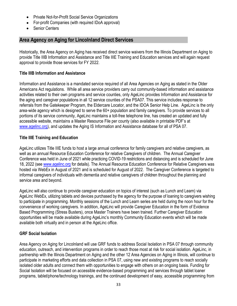- Private Not-for-Profit Social Service Organizations
- For-profit Companies (with required IDoA approval)
- **Senior Centers**

# **Area Agency on Aging for Lincolnland Direct Services**

Historically, the Area Agency on Aging has received direct service waivers from the Illinois Department on Aging to provide Title IIIB Information and Assistance and Title IIIE Training and Education services and will again request approval to provide those services for FY 2022.

#### **Title IIIB Information and Assistance**

Information and Assistance is a mandated service required of all Area Agencies on Aging as stated in the Older Americans Act regulations. While all area service providers carry out community-based information and assistance activities related to their own programs and service counties, only AgeLinc provides Information and Assistance for the aging and caregiver populations in all 12 service counties of the PSA07. This service includes response to referrals from the Gatekeeper Program, the Eldercare Locator, and the IDOA Senior Help Line. AgeLinc is the only area-wide agency which is designed to serve the 60+ population and family caregivers. To provide services to all portions of its service community, AgeLinc maintains a toll-free telephone line, has created an updated and fully accessible website, maintains a Master Resource File per county (also available in printable PDF's at [www.agelinc.org\)](http://www.agelinc.org/), and updates the Aging IS Information and Assistance database for all of PSA 07.

#### **Title IIIE Training and Education**

AgeLinc utilizes Title IIIE funds to host a large annual conference for family caregivers and relative caregivers, as well as an annual Resource Education Conference for relative Caregivers of children. The Annual Caregiver Conference was held in June of 2021 while practicing COVID-19 restrictions and distancing and is scheduled for June 18, 2022 (see [www.agelinc.org](http://www.agelinc.org/) for details). The Annual Resource Education Conference for Relative Caregivers was hosted via WebEx in August of 2021 and is scheduled for August of 2022. The Caregiver Conference is targeted to informal caregivers of individuals with dementia and relative caregivers of children throughout the planning and service area and beyond.

AgeLinc will also continue to provide caregiver education on topics of interest (such as Lunch and Learn) via AgeLinc WebEx, utilizing tablets and devices purchased by the agency for the purpose of loaning to caregivers wishing to participate in programming. Monthly sessions of the Lunch and Learn series are held during the noon hour for the convenience of working caregivers. In addition, AgeLinc will provide Caregiver Education in the form of Evidence Based Programming (Stress Busters), once Master Trainers have been trained. Further Caregiver Education opportunities will be made available during AgeLinc's monthly Community Education events which will be made available both virtually and in person at the AgeLinc office.

#### **GRF Social Isolation**

Area Agency on Aging for Lincolnland will use GRF funds to address Social Isolation in PSA 07 through community education, outreach, and intervention programs in order to reach those most at risk for social isolation. AgeLinc, in partnership with the Illinois Department on Aging and the other 12 Area Agencies on Aging in Illinois, will continue to participate in marketing efforts and data collection in PSA 07, using new and existing programs to reach socially isolated older adults and connect them with opportunities to engage with others on an ongoing basis. Funding for Social Isolation will be focused on accessible evidence-based programming and services through tablet loaner programs, tablet/phone/technology trainings, and the continued development of easy, accessible programming from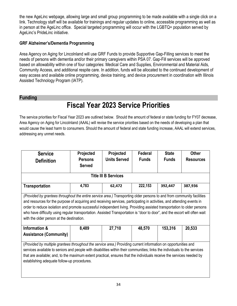the new AgeLinc webpage, allowing large and small group programming to be made available with a single click on a link. Technology staff will be available for trainings and regular updates to online, accessible programming as well as in person at the AgeLinc office. Special targeted programming will occur with the LGBTQ+ population served by AgeLinc's PrideLinc initiative.

#### **GRF Alzheimer's/Dementia Programming**

Area Agency on Aging for Lincolnland will use GRF Funds to provide Supportive Gap-Filling services to meet the needs of persons with dementia and/or their primary caregivers within PSA 07. Gap-Fill services will be approved based on allowability within one of four categories: Medical Care and Supplies, Environmental and Material Aids, Community Access, and additional respite care. In addition, funds will be allocated to the continued development of easy access and available online programming, device training, and device procurement in coordination with Illinois Assisted Technology Program (IATP).

### **Funding**

# **Fiscal Year 2023 Service Priorities**

The service priorities for Fiscal Year 2023 are outlined below. Should the amount of federal or state funding for FY07 decrease, Area Agency on Aging for Lincolnland (AAAL) will revise the service priorities based on the needs of developing a plan that would cause the least harm to consumers. Should the amount of federal and state funding increase, AAAL will extend services, addressing any unmet needs.

| <b>Service</b><br><b>Definition</b>                                                                                                                                                                                                                                                                                                                                                                                                                                                                                                                      | <b>Projected</b><br><b>Persons</b><br><b>Served</b> | <b>Projected</b><br><b>Units Served</b> | Federal<br><b>Funds</b> | <b>State</b><br><b>Funds</b> | <b>Other</b><br><b>Resources</b> |  |
|----------------------------------------------------------------------------------------------------------------------------------------------------------------------------------------------------------------------------------------------------------------------------------------------------------------------------------------------------------------------------------------------------------------------------------------------------------------------------------------------------------------------------------------------------------|-----------------------------------------------------|-----------------------------------------|-------------------------|------------------------------|----------------------------------|--|
| <b>Title III B Services</b>                                                                                                                                                                                                                                                                                                                                                                                                                                                                                                                              |                                                     |                                         |                         |                              |                                  |  |
| <b>Transportation</b>                                                                                                                                                                                                                                                                                                                                                                                                                                                                                                                                    | 4,783                                               | 62,472                                  | 222,153                 | 392,447                      | 387,936                          |  |
| (Provided by grantees throughout the entire service area.) Transporting older persons to and from community facilities<br>and resources for the purpose of acquiring and receiving services, participating in activities, and attending events in<br>order to reduce isolation and promote successful independent living. Providing assisted transportation to older persons<br>who have difficulty using regular transportation. Assisted Transportation is "door to door", and the escort will often wait<br>with the older person at the destination. |                                                     |                                         |                         |                              |                                  |  |
| Information &<br><b>Assistance (Community)</b>                                                                                                                                                                                                                                                                                                                                                                                                                                                                                                           | 8,489                                               | 27,710                                  | 48,570                  | 153,316                      | 20,533                           |  |
| (Provided by multiple grantees throughout the service area.) Providing current information on opportunities and<br>services available to seniors and people with disabilities within their communities; links the individuals to the services<br>that are available; and, to the maximum extent practical, ensures that the individuals receive the services needed by<br>establishing adequate follow-up procedures.                                                                                                                                    |                                                     |                                         |                         |                              |                                  |  |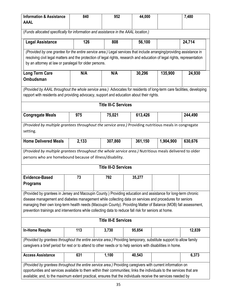| <b>Information &amp; Assistance</b><br><b>AAAL</b>                                                                                                                                                                                                                                                                                                                                                                                                    | 840   | 952                         | 44,000  |           | 7,480   |  |
|-------------------------------------------------------------------------------------------------------------------------------------------------------------------------------------------------------------------------------------------------------------------------------------------------------------------------------------------------------------------------------------------------------------------------------------------------------|-------|-----------------------------|---------|-----------|---------|--|
| (Funds allocated specifically for information and assistance in the AAAL location.)                                                                                                                                                                                                                                                                                                                                                                   |       |                             |         |           |         |  |
| <b>Legal Assistance</b>                                                                                                                                                                                                                                                                                                                                                                                                                               | 126   | 808                         | 56,100  |           | 24,714  |  |
| (Provided by one grantee for the entire service area.) Legal services that include arranging/providing assistance in<br>resolving civil legal matters and the protection of legal rights, research and education of legal rights, representation<br>by an attorney at law or paralegal for older persons.                                                                                                                                             |       |                             |         |           |         |  |
| <b>Long Term Care</b><br><b>Ombudsman</b>                                                                                                                                                                                                                                                                                                                                                                                                             | N/A   | N/A                         | 30,296  | 135,900   | 24,930  |  |
| (Provided by AAAL throughout the whole service area.) Advocates for residents of long-term care facilities, developing<br>rapport with residents and providing advocacy, support and education about their rights.                                                                                                                                                                                                                                    |       |                             |         |           |         |  |
|                                                                                                                                                                                                                                                                                                                                                                                                                                                       |       | <b>Title III-C Services</b> |         |           |         |  |
| <b>Congregate Meals</b>                                                                                                                                                                                                                                                                                                                                                                                                                               | 975   | 75,021                      | 613,426 |           | 244,490 |  |
| (Provided by multiple grantees throughout the service area.) Providing nutritious meals in congregate<br>setting.                                                                                                                                                                                                                                                                                                                                     |       |                             |         |           |         |  |
| <b>Home Delivered Meals</b>                                                                                                                                                                                                                                                                                                                                                                                                                           | 2,133 | 307,860                     | 361,150 | 1,904,900 | 630,676 |  |
| (Provided by multiple grantees throughout the whole service area.) Nutritious meals delivered to older<br>persons who are homebound because of illness/disability.                                                                                                                                                                                                                                                                                    |       |                             |         |           |         |  |
| <b>Title III-D Services</b>                                                                                                                                                                                                                                                                                                                                                                                                                           |       |                             |         |           |         |  |
| <b>Evidence-Based</b><br><b>Programs</b>                                                                                                                                                                                                                                                                                                                                                                                                              | 73    | 792                         | 35,277  |           |         |  |
| (Provided by grantees in Jersey and Macoupin County.) Providing education and assistance for long-term chronic<br>disease management and diabetes management while collecting data on services and procedures for seniors<br>managing their own long-term health needs (Macoupin County). Providing Matter of Balance (MOB) fall assessment,<br>prevention trainings and interventions while collecting data to reduce fall risk for seniors at home. |       |                             |         |           |         |  |
| <b>Title III-E Services</b>                                                                                                                                                                                                                                                                                                                                                                                                                           |       |                             |         |           |         |  |
| <b>In-Home Respite</b>                                                                                                                                                                                                                                                                                                                                                                                                                                | 113   | 3,730                       | 95,854  |           | 12,839  |  |
| (Provided by grantees throughout the entire service area.) Providing temporary, substitute support to allow family<br>caregivers a brief period for rest or to attend to other needs or to help seniors with disabilities in home.                                                                                                                                                                                                                    |       |                             |         |           |         |  |
| <b>Access Assistance</b>                                                                                                                                                                                                                                                                                                                                                                                                                              | 631   | 1,100                       | 40,543  |           | 6,373   |  |
| (Provided by grantees throughout the entire service area.) Providing caregivers with current information on<br>opportunities and services available to them within their communities; links the individuals to the services that are<br>available; and, to the maximum extent practical, ensures that the individuals receive the services needed by                                                                                                  |       |                             |         |           |         |  |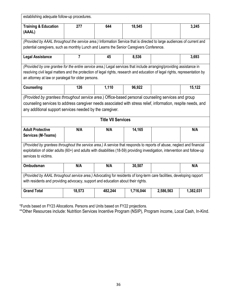| establishing adequate follow-up procedures.                                                                                 |                                                                                                                        |         |           |           |           |  |
|-----------------------------------------------------------------------------------------------------------------------------|------------------------------------------------------------------------------------------------------------------------|---------|-----------|-----------|-----------|--|
| <b>Training &amp; Education</b>                                                                                             | 277                                                                                                                    | 644     | 18,545    |           | 3,245     |  |
| (AAAL)                                                                                                                      |                                                                                                                        |         |           |           |           |  |
| (Provided by AAAL throughout the service area.) Information Service that is directed to large audiences of current and      |                                                                                                                        |         |           |           |           |  |
| potential caregivers, such as monthly Lunch and Learns the Senior Caregivers Conference.                                    |                                                                                                                        |         |           |           |           |  |
| <b>Legal Assistance</b>                                                                                                     | $\overline{7}$                                                                                                         | 45      | 8,536     |           | 3,693     |  |
| (Provided by one grantee for the entire service area.) Legal services that include arranging/providing assistance in        |                                                                                                                        |         |           |           |           |  |
| resolving civil legal matters and the protection of legal rights, research and education of legal rights, representation by |                                                                                                                        |         |           |           |           |  |
| an attorney at law or paralegal for older persons.                                                                          |                                                                                                                        |         |           |           |           |  |
| <b>Counseling</b>                                                                                                           | 126                                                                                                                    | 1,110   | 96,922    |           | 15,122    |  |
| (Provided by grantees throughout service area.) Office-based personal counseling services and group                         |                                                                                                                        |         |           |           |           |  |
| counseling services to address caregiver needs associated with stress relief, information, respite needs, and               |                                                                                                                        |         |           |           |           |  |
|                                                                                                                             | any additional support services needed by the caregiver.                                                               |         |           |           |           |  |
| <b>Title VII Services</b>                                                                                                   |                                                                                                                        |         |           |           |           |  |
| <b>Adult Protective</b>                                                                                                     | N/A                                                                                                                    | N/A     | 14,165    |           | N/A       |  |
| <b>Services (M-Teams)</b>                                                                                                   |                                                                                                                        |         |           |           |           |  |
|                                                                                                                             | (Provided by grantees throughout the service area.) A service that responds to reports of abuse, neglect and financial |         |           |           |           |  |
| exploitation of older adults (60+) and adults with disabilities (18-59) providing investigation, intervention and follow-up |                                                                                                                        |         |           |           |           |  |
| services to victims.                                                                                                        |                                                                                                                        |         |           |           |           |  |
| Ombudsman                                                                                                                   | N/A                                                                                                                    | N/A     | 30,507    |           | N/A       |  |
| (Provided by AAAL throughout service area.) Advocating for residents of long-term care facilities, developing rapport       |                                                                                                                        |         |           |           |           |  |
| with residents and providing advocacy, support and education about their rights.                                            |                                                                                                                        |         |           |           |           |  |
| <b>Grand Total</b>                                                                                                          | 18,573                                                                                                                 | 482,244 | 1,716,044 | 2,586,563 | 1,382,031 |  |

\*Funds based on FY23 Allocations. Persons and Units based on FY22 projections.

\*\*Other Resources include: Nutrition Services Incentive Program (NSIP), Program income, Local Cash, In-Kind.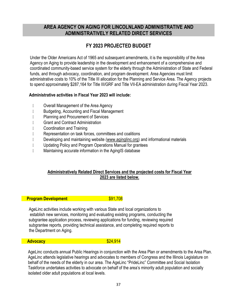## **AREA AGENCY ON AGING FOR LINCOLNLAND ADMINISTRATIVE AND ADMINISTRATIVELY RELATED DIRECT SERVICES**

# **FY 2023 PROJECTED BUDGET**

Under the Older Americans Act of 1965 and subsequent amendments, it is the responsibility of the Area Agency on Aging to provide leadership in the development and enhancement of a comprehensive and coordinated community-based service system for the elderly through the Administration of State and Federal funds, and through advocacy, coordination, and program development. Area Agencies must limit administrative costs to 10% of the Title III allocation for the Planning and Service Area. The Agency projects to spend approximately \$287,164 for Title III/GRF and Title VII-EA administration during Fiscal Year 2023.

#### **Administrative activities in Fiscal Year 2023 will include:**

- **D** Overall Management of the Area Agency
- D Budgeting, Accounting and Fiscal Management
- **Planning and Procurement of Services**
- **Contract Administration**
- **D** Coordination and Training
- Representation on task forces, committees and coalitions
- Developing and maintaining website [\(www.aginglinc.org\)](http://www.aginglinc.org/) and informational materials
- Updating Policy and Program Operations Manual for grantees
- D Maintaining accurate information in the AgingIS database

#### **Administratively Related Direct Services and the projected costs for Fiscal Year 2023 are listed below.**

#### **Program Development Example 201,708**

 AgeLinc activities include working with various State and local organizations to establish new services, monitoring and evaluating existing programs, conducting the subgrantee application process, reviewing applications for funding, reviewing required subgrantee reports, providing technical assistance, and completing required reports to the Department on Aging.

#### **Advocacy Advocacy 324,914**

AgeLinc conducts annual Public Hearings in conjunction with the Area Plan or amendments to the Area Plan. AgeLinc attends legislative hearings and advocates to members of Congress and the Illinois Legislature on behalf of the needs of the elderly in our area. The AgeLinc "PrideLinc" Committee and Social Isolation Taskforce undertakes activities to advocate on behalf of the area's minority adult population and socially isolated older adult populations at local levels.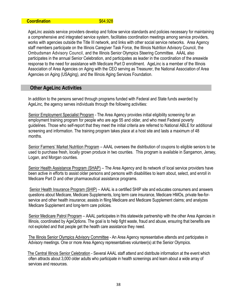#### **Coordination** \$64,928

AgeLinc assists service providers develop and follow service standards and policies necessary for maintaining a comprehensive and integrated service system, facilitates coordination meetings among service providers, works with agencies outside the Title III network, and links with other social service networks. Area Agency staff members participate on the Illinois Caregiver Task Force, the Illinois Nutrition Advisory Council, the Ombudsman Advisory Council, and the Illinois Senior Olympics Steering Committee. AAAL also participates in the annual Senior Celebration, and participates as leader in the coordination of the areawide response to the need for assistance with Medicare Part D enrollment. AgeLinc is a member of the Illinois Association of Area Agencies on Aging with the CEO serving as Treasurer, the National Association of Area Agencies on Aging (USAging), and the Illinois Aging Services Foundation.

#### **Other AgeLinc Activities**

In addition to the persons served through programs funded with Federal and State funds awarded by AgeLinc, the agency serves individuals through the following activities:

 Senior Employment Specialist Program - The Area Agency provides initial eligibility screening for an employment training program for people who are age 55 and older, and who meet Federal poverty guidelines. Those who self-report that they meet the initial criteria are referred to National ABLE for additional screening and information. The training program takes place at a host site and lasts a maximum of 48 months.

Senior Farmers' Market Nutrition Program - AAAL oversees the distribution of coupons to eligible seniors to be used to purchase fresh, locally grown produce in two counties. This program is available in Sangamon, Jersey, Logan, and Morgan counties.

Senior Health Assistance Program (SHAP) – The Area Agency and its network of local service providers have been active in efforts to assist older persons and persons with disabilities to learn about, select, and enroll in Medicare Part D and other pharmaceutical assistance programs.

 Senior Health Insurance Program (SHIP) – AAAL is a certified SHIP site and educates consumers and answers questions about Medicare, Medicare Supplements, long term care insurance, Medicare HMOs, private fee-forservice and other health insurance; assists in filing Medicare and Medicare Supplement claims; and analyzes Medicare Supplement and long-term care policies.

 Senior Medicare Patrol Program – AAAL participates in this statewide partnership with the other Area Agencies in Illinois, coordinated by AgeOptions. The goal is to help fight waste, fraud and abuse, ensuring that benefits are not exploited and that people get the health care assistance they need.

The Illinois Senior Olympics Advisory Committee - An Area Agency representative attends and participates in Advisory meetings. One or more Area Agency representatives volunteer(s) at the Senior Olympics.

 The Central Illinois Senior Celebration - Several AAAL staff attend and distribute information at the event which often attracts about 3,000 older adults who participate in health screenings and learn about a wide array of services and resources.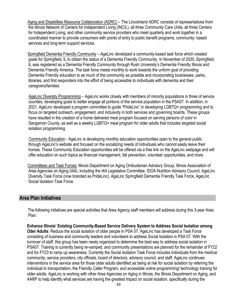Aging and Disabilities Resource Collaboration (ADRC) – The Lincolnland ADRC consists of representatives from the Illinois Network of Centers for Independent Living (INCIL), all three Community Care Units, all three Centers for Independent Living, and other community service providers who meet quarterly and work together in a coordinated manner to provide consumers with points of entry to public benefit programs, community- based services and long-term support services.

 Springfield Dementia Friendly Community – AgeLinc developed a community-based task force which created goals for Springfield, IL to obtain the status of a Dementia Friendly Community. In November of 2020, Springfield, IL was registered as a Dementia Friendly Community through Rush University's Dementia Friendly Illinois and Dementia Friendly America. The task force meets monthly to work towards the unform goal of providing Dementia Friendly education to as much of the community as possible and incorporating businesses, parks, libraries, and first responders into the effort of being accessible to individuals with dementia and their caregivers/families.

 AgeLinc Diversity Programming – AgeLinc works closely with members of minority populations in three of service counties, developing goals to better engage all portions of the service population in the PSA07. In addition, in 2021, AgeLinc developed a program committee to guide "PrideLinc" in developing LGBTQ+ programming and to focus on targeted outreach, engagement, and inclusivity in both services and governing boards. These groups have resulted in the creation of a home delivered meal program focused on serving persons of color in Sangamon County, as well as a weekly LGBTQ+ meal program for older adults that includes targeted social isolation programming.

 Community Education - AgeLinc is developing monthly education opportunities open to the general public through AgeLinc's website and focused on the socializing needs of individuals who cannot easily leave their homes. These Community Education opportunities will be offered via a free link on the AgeLinc webpage and will offer education on such topics as financial management, fall prevention, volunteer opportunities, and more.

 Committees and Task Forces: Illinois Department on Aging Ombudsman Advisory Group, Illinois Association of Area Agencies on Aging (I4A), including the I4A Legislative Committee, IDOA Nutrition Advisory Council, AgeLinc Diversity Task Force (now branded as PrideLinc), AgeLinc Springfield Dementia Friendly Task Force, AgeLinc Social Isolation Task Force.

#### **Area Plan Initiatives**

The following initiatives are special activities that Area Agency staff members will address during this 3-year Area Plan.

**Enhance Illinois' Existing Community-Based Service Delivery System to Address Social Isolation among Oder Adults**: Reduce the social isolation of older people in PSA 07. AgeLinc has developed a Task Force consisting of business and community leaders and volunteers to address Social Isolation in PSA 07. With the turnover of staff, this group has been newly organized to determine the best way to address social isolation in PSA07. Training is currently being re-vamped, and community presentations are planned for the remainder of FY22 and for FY23 to ramp up awareness. Currently the Social Isolation Task Force includes individuals from the medical community, service providers, city officials, board of directors, advisory council, and staff. AgeLinc continues interventions in the service area for those older adults identified as being at risk for social isolation by referring the individual to transportation, the Friendly Caller Program, and accessible online programming/ technology training for older adults. AgeLinc is working with other Area Agencies on Aging in Illinois, the Illinois Department on Aging, and AARP to help identify what services are having the greatest impact on social isolation, specifically during the